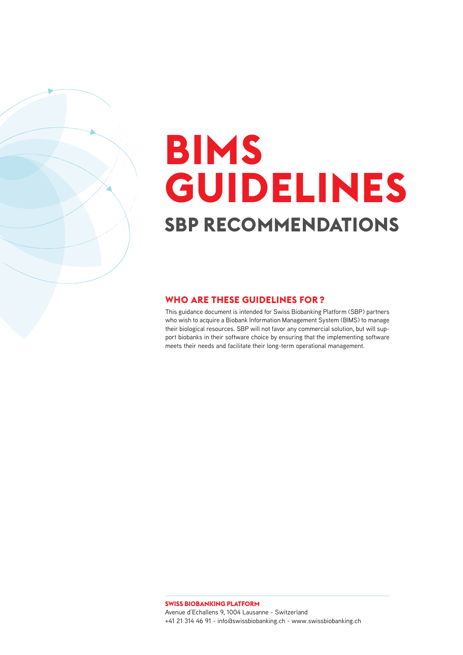# **SBP RECOMMENDATIONS BIMS GUIDELINES**

### **WHO ARE THESE GUIDELINES FOR ?**

This guidance document is intended for Swiss Biobanking Platform (SBP) partners who wish to acquire a Biobank Information Management System (BIMS) to manage their biological resources. SBP will not favor any commercial solution, but will support biobanks in their software choice by ensuring that the implementing software meets their needs and facilitate their long-term operational management.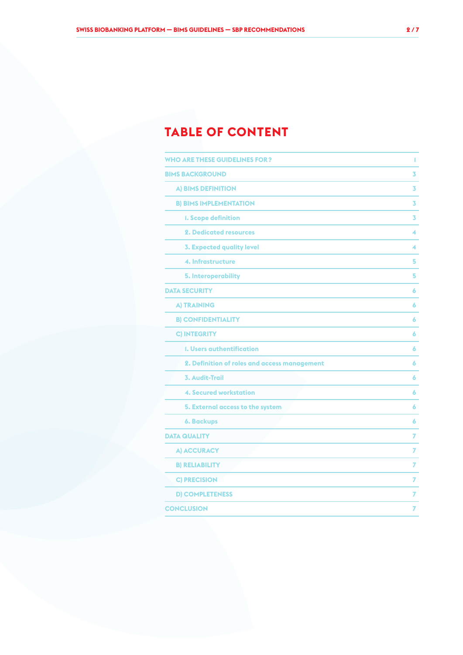## **TABLE OF CONTENT**

| <b>WHO ARE THESE GUIDELINES FOR?</b>         | 1 |
|----------------------------------------------|---|
| <b>BIMS BACKGROUND</b>                       | 3 |
| A) BIMS DEFINITION                           | 3 |
| <b>B) BIMS IMPLEMENTATION</b>                | 3 |
| <b>I. Scope definition</b>                   | 3 |
| <b>2. Dedicated resources</b>                | 4 |
| <b>3. Expected quality level</b>             | 4 |
| 4. Infrastructure                            | 5 |
| 5. Interoperability                          | 5 |
| <b>DATA SECURITY</b>                         | 6 |
| <b>A) TRAINING</b>                           | 6 |
| <b>B) CONFIDENTIALITY</b>                    | 6 |
| <b>C) INTEGRITY</b>                          | 6 |
| <b>1. Users authentification</b>             | 6 |
| 2. Definition of roles and access management | 6 |
| <b>3. Audit-Trail</b>                        | 6 |
| <b>4. Secured workstation</b>                | 6 |
| 5. External access to the system             | 6 |
| <b>6. Backups</b>                            | 6 |
| <b>DATA QUALITY</b>                          | 7 |
| A) ACCURACY                                  | 7 |
| <b>B) RELIABILITY</b>                        | 7 |
| <b>C) PRECISION</b>                          | 7 |
| <b>D) COMPLETENESS</b>                       | 7 |
| <b>CONCLUSION</b>                            | 7 |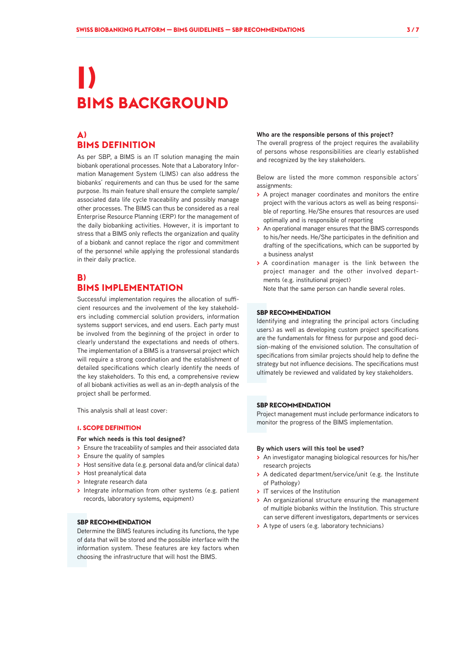## **I) BIMS BACKGROUND**

## **A) BIMS DEFINITION**

As per SBP, a BIMS is an IT solution managing the main biobank operational processes. Note that a Laboratory Information Management System (LIMS) can also address the biobanks' requirements and can thus be used for the same purpose. Its main feature shall ensure the complete sample/ associated data life cycle traceability and possibly manage other processes. The BIMS can thus be considered as a real Enterprise Resource Planning (ERP) for the management of the daily biobanking activities. However, it is important to stress that a BIMS only reflects the organization and quality of a biobank and cannot replace the rigor and commitment of the personnel while applying the professional standards in their daily practice.

## **B) BIMS IMPLEMENTATION**

Successful implementation requires the allocation of sufficient resources and the involvement of the key stakeholders including commercial solution providers, information systems support services, and end users. Each party must be involved from the beginning of the project in order to clearly understand the expectations and needs of others. The implementation of a BIMS is a transversal project which will require a strong coordination and the establishment of detailed specifications which clearly identify the needs of the key stakeholders. To this end, a comprehensive review of all biobank activities as well as an in-depth analysis of the project shall be performed.

This analysis shall at least cover:

#### **1. SCOPE DEFINITION**

#### **For which needs is this tool designed?**

- **>** Ensure the traceability of samples and their associated data
- **>** Ensure the quality of samples
- **>** Host sensitive data (e.g. personal data and/or clinical data)
- **>** Host preanalytical data
- **>** Integrate research data
- **>** Integrate information from other systems (e.g. patient records, laboratory systems, equipment)

#### **SBP RECOMMENDATION**

Determine the BIMS features including its functions, the type of data that will be stored and the possible interface with the information system. These features are key factors when choosing the infrastructure that will host the BIMS.

#### **Who are the responsible persons of this project?**

The overall progress of the project requires the availability of persons whose responsibilities are clearly established and recognized by the key stakeholders.

Below are listed the more common responsible actors' assignments:

- **>** A project manager coordinates and monitors the entire project with the various actors as well as being responsible of reporting. He/She ensures that resources are used optimally and is responsible of reporting
- **>** An operational manager ensures that the BIMS corresponds to his/her needs. He/She participates in the definition and drafting of the specifications, which can be supported by a business analyst
- **>** A coordination manager is the link between the project manager and the other involved departments (e.g. institutional project)

Note that the same person can handle several roles.

#### **SBP RECOMMENDATION**

Identifying and integrating the principal actors (including users) as well as developing custom project specifications are the fundamentals for fitness for purpose and good decision-making of the envisioned solution. The consultation of specifications from similar projects should help to define the strategy but not influence decisions. The specifications must ultimately be reviewed and validated by key stakeholders.

#### **SBP RECOMMENDATION**

Project management must include performance indicators to monitor the progress of the BIMS implementation.

#### **By which users will this tool be used?**

- **>** An investigator managing biological resources for his/her research projects
- **>** A dedicated department/service/unit (e.g. the Institute of Pathology)
- **>** IT services of the Institution
- **>** An organizational structure ensuring the management of multiple biobanks within the Institution. This structure can serve different investigators, departments or services
- **>** A type of users (e.g. laboratory technicians)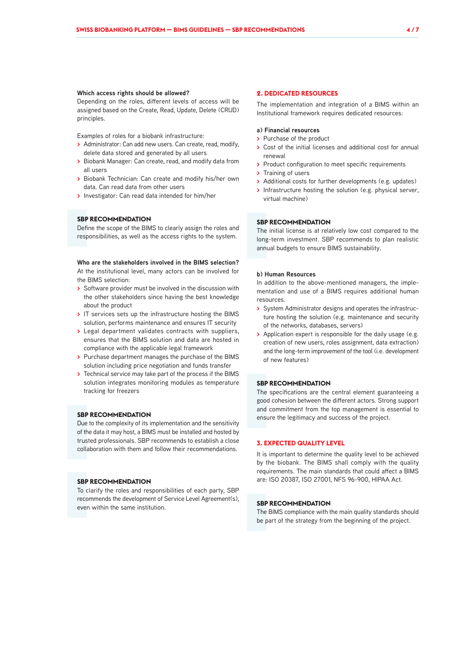#### **Which access rights should be allowed?**

Depending on the roles, different levels of access will be assigned based on the Create, Read, Update, Delete (CRUD) principles.

Examples of roles for a biobank infrastructure:

- **>** Administrator: Can add new users. Can create, read, modify, delete data stored and generated by all users
- **>** Biobank Manager: Can create, read, and modify data from all users
- **>** Biobank Technician: Can create and modify his/her own data. Can read data from other users
- **>** Investigator: Can read data intended for him/her

#### **SBP RECOMMENDATION**

Define the scope of the BIMS to clearly assign the roles and responsibilities, as well as the access rights to the system.

**Who are the stakeholders involved in the BIMS selection?** At the institutional level, many actors can be involved for the BIMS selection:

- **>** Software provider must be involved in the discussion with the other stakeholders since having the best knowledge about the product
- **>** IT services sets up the infrastructure hosting the BIMS solution, performs maintenance and ensures IT security
- **>** Legal department validates contracts with suppliers, ensures that the BIMS solution and data are hosted in compliance with the applicable legal framework
- **>** Purchase department manages the purchase of the BIMS solution including price negotiation and funds transfer
- **>** Technical service may take part of the process if the BIMS solution integrates monitoring modules as temperature tracking for freezers

#### **SBP RECOMMENDATION**

Due to the complexity of its implementation and the sensitivity of the data it may host, a BIMS must be installed and hosted by trusted professionals. SBP recommends to establish a close collaboration with them and follow their recommendations.

#### **SBP RECOMMENDATION**

To clarify the roles and responsibilities of each party, SBP recommends the development of Service Level Agreement(s), even within the same institution.

#### **2. DEDICATED RESOURCES**

The implementation and integration of a BIMS within an Institutional framework requires dedicated resources:

#### **a) Financial resources**

- **>** Purchase of the product
- **>** Cost of the initial licenses and additional cost for annual renewal
- **>** Product configuration to meet specific requirements
- **>** Training of users
- **>** Additional costs for further developments (e.g. updates)
- **>** Infrastructure hosting the solution (e.g. physical server, virtual machine)

#### **SBP RECOMMENDATION**

The initial license is at relatively low cost compared to the long-term investment. SBP recommends to plan realistic annual budgets to ensure BIMS sustainability.

#### **b) Human Resources**

In addition to the above-mentioned managers, the implementation and use of a BIMS requires additional human resources.

- **>** System Administrator designs and operates the infrastructure hosting the solution (e.g. maintenance and security of the networks, databases, servers)
- **>** Application expert is responsible for the daily usage (e.g. creation of new users, roles assignment, data extraction) and the long-term improvement of the tool (i.e. development of new features)

#### **SBP RECOMMENDATION**

The specifications are the central element guaranteeing a good cohesion between the different actors. Strong support and commitment from the top management is essential to ensure the legitimacy and success of the project.

#### **3. EXPECTED QUALITY LEVEL**

It is important to determine the quality level to be achieved by the biobank. The BIMS shall comply with the quality requirements. The main standards that could affect a BIMS are: ISO 20387, ISO 27001, NFS 96-900, HIPAA Act.

#### **SBP RECOMMENDATION**

The BIMS compliance with the main quality standards should be part of the strategy from the beginning of the project.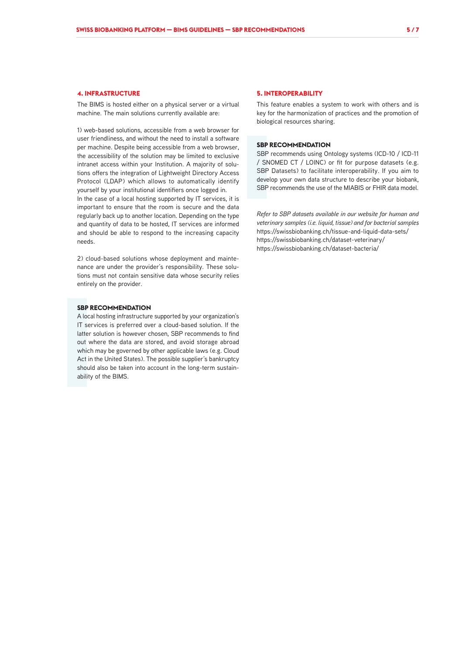#### **4. INFRASTRUCTURE**

The BIMS is hosted either on a physical server or a virtual machine. The main solutions currently available are:

1) web-based solutions, accessible from a web browser for user friendliness, and without the need to install a software per machine. Despite being accessible from a web browser, the accessibility of the solution may be limited to exclusive intranet access within your Institution. A majority of solutions offers the integration of Lightweight Directory Access Protocol (LDAP) which allows to automatically identify yourself by your institutional identifiers once logged in. In the case of a local hosting supported by IT services, it is important to ensure that the room is secure and the data regularly back up to another location. Depending on the type and quantity of data to be hosted, IT services are informed and should be able to respond to the increasing capacity needs.

2) cloud-based solutions whose deployment and maintenance are under the provider's responsibility. These solutions must not contain sensitive data whose security relies entirely on the provider.

#### **SBP RECOMMENDATION**

A local hosting infrastructure supported by your organization's IT services is preferred over a cloud-based solution. If the latter solution is however chosen, SBP recommends to find out where the data are stored, and avoid storage abroad which may be governed by other applicable laws (e.g. Cloud Act in the United States). The possible supplier's bankruptcy should also be taken into account in the long-term sustainability of the BIMS.

#### **5. INTEROPERABILITY**

This feature enables a system to work with others and is key for the harmonization of practices and the promotion of biological resources sharing.

#### **SBP RECOMMENDATION**

SBP recommends using Ontology systems (ICD-10 / ICD-11 / SNOMED CT / LOINC) or fit for purpose datasets (e.g. SBP Datasets) to facilitate interoperability. If you aim to develop your own data structure to describe your biobank, SBP recommends the use of the MIABIS or FHIR data model.

*Refer to SBP datasets available in our website for human and veterinary samples (i.e. liquid, tissue) and for bacterial samples* https://swissbiobanking.ch/tissue-and-liquid-data-sets/ https://swissbiobanking.ch/dataset-veterinary/ https://swissbiobanking.ch/dataset-bacteria/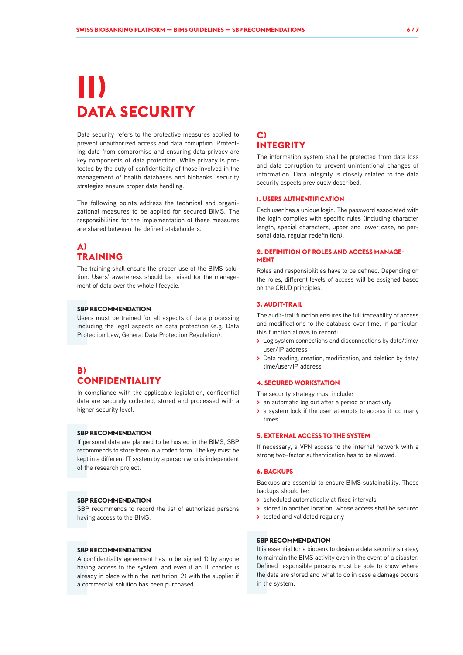## **II) DATA SECURITY**

Data security refers to the protective measures applied to prevent unauthorized access and data corruption. Protecting data from compromise and ensuring data privacy are key components of data protection. While privacy is protected by the duty of confidentiality of those involved in the management of health databases and biobanks, security strategies ensure proper data handling.

The following points address the technical and organizational measures to be applied for secured BIMS. The responsibilities for the implementation of these measures are shared between the defined stakeholders.

### **A) TRAINING**

The training shall ensure the proper use of the BIMS solution. Users' awareness should be raised for the management of data over the whole lifecycle.

#### **SBP RECOMMENDATION**

Users must be trained for all aspects of data processing including the legal aspects on data protection (e.g. Data Protection Law, General Data Protection Regulation).

## **B) CONFIDENTIALITY**

In compliance with the applicable legislation, confidential data are securely collected, stored and processed with a higher security level.

#### **SBP RECOMMENDATION**

If personal data are planned to be hosted in the BIMS, SBP recommends to store them in a coded form. The key must be kept in a different IT system by a person who is independent of the research project.

#### **SBP RECOMMENDATION**

SBP recommends to record the list of authorized persons having access to the BIMS.

#### **SBP RECOMMENDATION**

A confidentiality agreement has to be signed 1) by anyone having access to the system, and even if an IT charter is already in place within the Institution; 2) with the supplier if a commercial solution has been purchased.

### **C) INTEGRITY**

The information system shall be protected from data loss and data corruption to prevent unintentional changes of information. Data integrity is closely related to the data security aspects previously described.

#### **1. USERS AUTHENTIFICATION**

Each user has a unique login. The password associated with the login complies with specific rules (including character length, special characters, upper and lower case, no personal data, regular redefinition).

#### **2. DEFINITION OF ROLES AND ACCESS MANAGE-MENT**

Roles and responsibilities have to be defined. Depending on the roles, different levels of access will be assigned based on the CRUD principles.

#### **3. AUDIT-TRAIL**

The audit-trail function ensures the full traceability of access and modifications to the database over time. In particular, this function allows to record:

- **>** Log system connections and disconnections by date/time/ user/IP address
- **>** Data reading, creation, modification, and deletion by date/ time/user/IP address

#### **4. SECURED WORKSTATION**

The security strategy must include:

- **>** an automatic log out after a period of inactivity
- **>** a system lock if the user attempts to access it too many times

#### **5. EXTERNAL ACCESS TO THE SYSTEM**

If necessary, a VPN access to the internal network with a strong two-factor authentication has to be allowed.

#### **6. BACKUPS**

Backups are essential to ensure BIMS sustainability. These backups should be:

- **>** scheduled automatically at fixed intervals
- **>** stored in another location, whose access shall be secured
- **>** tested and validated regularly

#### **SBP RECOMMENDATION**

It is essential for a biobank to design a data security strategy to maintain the BIMS activity even in the event of a disaster. Defined responsible persons must be able to know where the data are stored and what to do in case a damage occurs in the system.